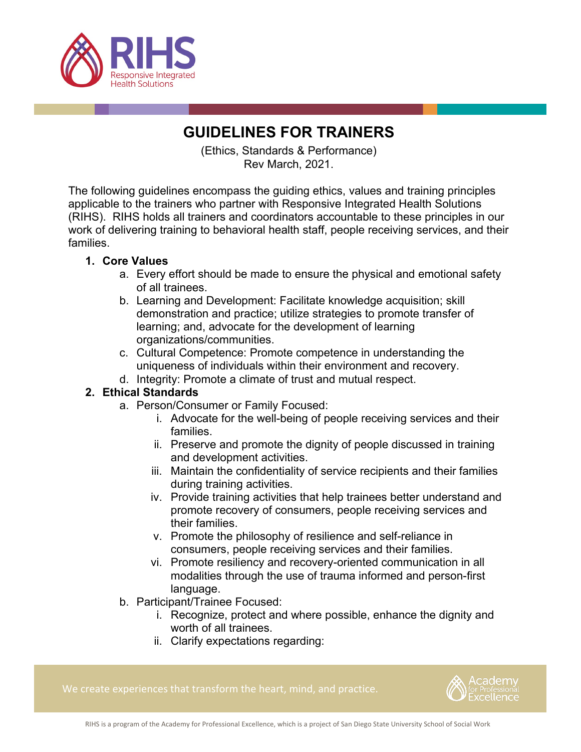

# **GUIDELINES FOR TRAINERS**

(Ethics, Standards & Performance) Rev March, 2021.

The following guidelines encompass the guiding ethics, values and training principles applicable to the trainers who partner with Responsive Integrated Health Solutions (RIHS). RIHS holds all trainers and coordinators accountable to these principles in our work of delivering training to behavioral health staff, people receiving services, and their families.

## **1. Core Values**

- a. Every effort should be made to ensure the physical and emotional safety of all trainees.
- b. Learning and Development: Facilitate knowledge acquisition; skill demonstration and practice; utilize strategies to promote transfer of learning; and, advocate for the development of learning organizations/communities.
- c. Cultural Competence: Promote competence in understanding the uniqueness of individuals within their environment and recovery.
- d. Integrity: Promote a climate of trust and mutual respect.

## **2. Ethical Standards**

- a. Person/Consumer or Family Focused:
	- i. Advocate for the well-being of people receiving services and their families.
	- ii. Preserve and promote the dignity of people discussed in training and development activities.
	- iii. Maintain the confidentiality of service recipients and their families during training activities.
	- iv. Provide training activities that help trainees better understand and promote recovery of consumers, people receiving services and their families.
	- v. Promote the philosophy of resilience and self-reliance in consumers, people receiving services and their families.
	- vi. Promote resiliency and recovery-oriented communication in all modalities through the use of trauma informed and person-first language.
- b. Participant/Trainee Focused:
	- i. Recognize, protect and where possible, enhance the dignity and worth of all trainees.
	- ii. Clarify expectations regarding:



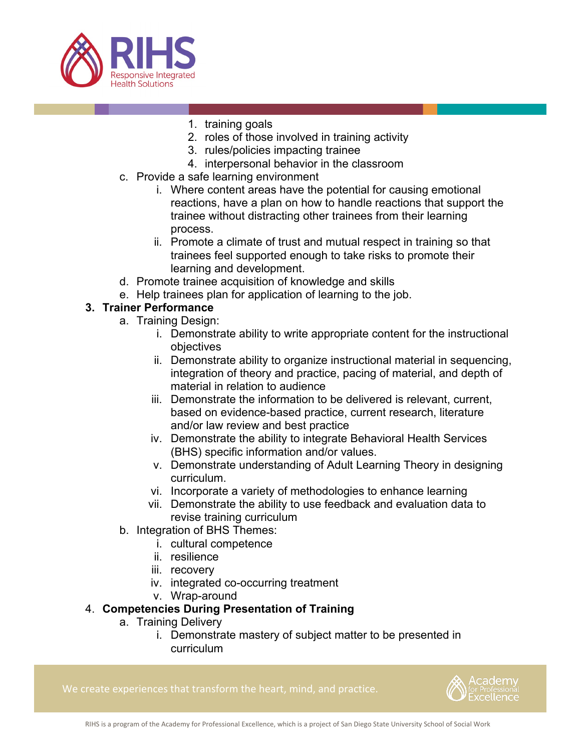

- 1. training goals
- 2. roles of those involved in training activity
- 3. rules/policies impacting trainee
- 4. interpersonal behavior in the classroom
- c. Provide a safe learning environment
	- i. Where content areas have the potential for causing emotional reactions, have a plan on how to handle reactions that support the trainee without distracting other trainees from their learning process.
	- ii. Promote a climate of trust and mutual respect in training so that trainees feel supported enough to take risks to promote their learning and development.
- d. Promote trainee acquisition of knowledge and skills
- e. Help trainees plan for application of learning to the job.

#### **3. Trainer Performance**

- a. Training Design:
	- i. Demonstrate ability to write appropriate content for the instructional objectives
	- ii. Demonstrate ability to organize instructional material in sequencing, integration of theory and practice, pacing of material, and depth of material in relation to audience
	- iii. Demonstrate the information to be delivered is relevant, current, based on evidence-based practice, current research, literature and/or law review and best practice
	- iv. Demonstrate the ability to integrate Behavioral Health Services (BHS) specific information and/or values.
	- v. Demonstrate understanding of Adult Learning Theory in designing curriculum.
	- vi. Incorporate a variety of methodologies to enhance learning
	- vii. Demonstrate the ability to use feedback and evaluation data to revise training curriculum
- b. Integration of BHS Themes:
	- i. cultural competence
	- ii. resilience
	- iii. recovery
	- iv. integrated co-occurring treatment
	- v. Wrap-around

#### 4. **Competencies During Presentation of Training**

- a. Training Delivery
	- i. Demonstrate mastery of subject matter to be presented in curriculum

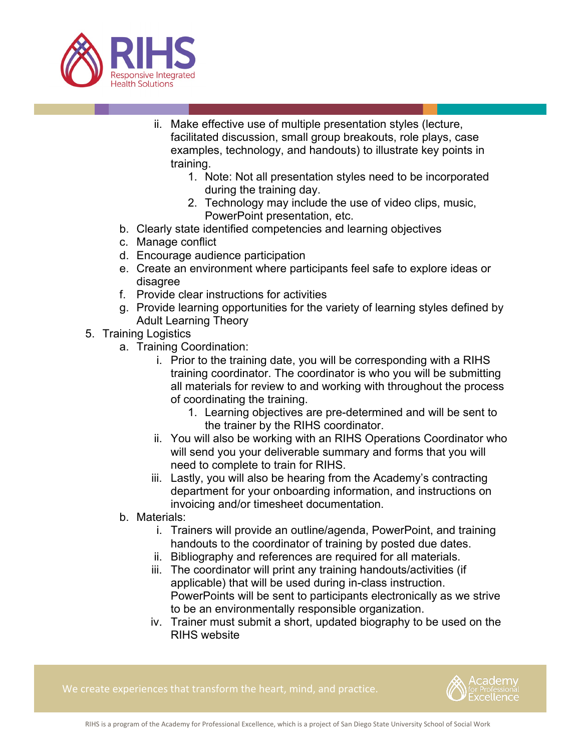

- ii. Make effective use of multiple presentation styles (lecture, facilitated discussion, small group breakouts, role plays, case examples, technology, and handouts) to illustrate key points in training.
	- 1. Note: Not all presentation styles need to be incorporated during the training day.
	- 2. Technology may include the use of video clips, music, PowerPoint presentation, etc.
- b. Clearly state identified competencies and learning objectives
- c. Manage conflict
- d. Encourage audience participation
- e. Create an environment where participants feel safe to explore ideas or disagree
- f. Provide clear instructions for activities
- g. Provide learning opportunities for the variety of learning styles defined by Adult Learning Theory
- 5. Training Logistics
	- a. Training Coordination:
		- i. Prior to the training date, you will be corresponding with a RIHS training coordinator. The coordinator is who you will be submitting all materials for review to and working with throughout the process of coordinating the training.
			- 1. Learning objectives are pre-determined and will be sent to the trainer by the RIHS coordinator.
		- ii. You will also be working with an RIHS Operations Coordinator who will send you your deliverable summary and forms that you will need to complete to train for RIHS.
		- iii. Lastly, you will also be hearing from the Academy's contracting department for your onboarding information, and instructions on invoicing and/or timesheet documentation.
	- b. Materials:
		- i. Trainers will provide an outline/agenda, PowerPoint, and training handouts to the coordinator of training by posted due dates.
		- ii. Bibliography and references are required for all materials.
		- iii. The coordinator will print any training handouts/activities (if applicable) that will be used during in-class instruction. PowerPoints will be sent to participants electronically as we strive to be an environmentally responsible organization.
		- iv. Trainer must submit a short, updated biography to be used on the RIHS website

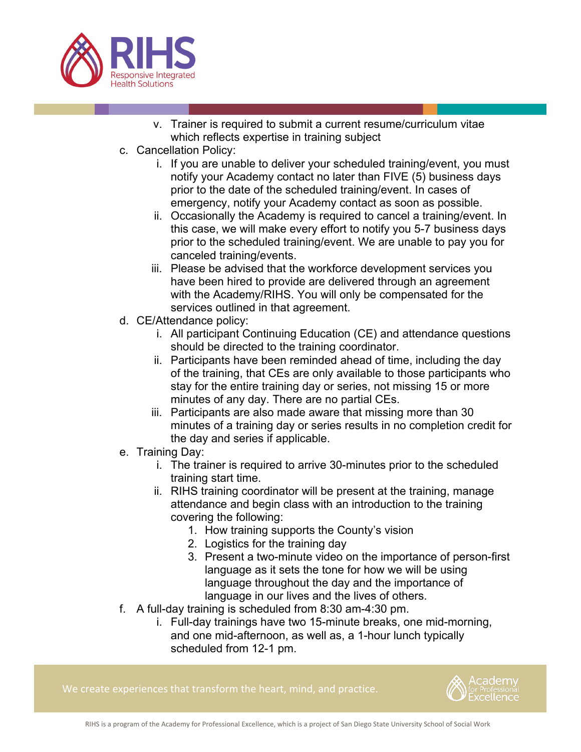

- v. Trainer is required to submit a current resume/curriculum vitae which reflects expertise in training subject
- c. Cancellation Policy:
	- i. If you are unable to deliver your scheduled training/event, you must notify your Academy contact no later than FIVE (5) business days prior to the date of the scheduled training/event. In cases of emergency, notify your Academy contact as soon as possible.
	- ii. Occasionally the Academy is required to cancel a training/event. In this case, we will make every effort to notify you 5-7 business days prior to the scheduled training/event. We are unable to pay you for canceled training/events.
	- iii. Please be advised that the workforce development services you have been hired to provide are delivered through an agreement with the Academy/RIHS. You will only be compensated for the services outlined in that agreement.
- d. CE/Attendance policy:
	- i. All participant Continuing Education (CE) and attendance questions should be directed to the training coordinator.
	- ii. Participants have been reminded ahead of time, including the day of the training, that CEs are only available to those participants who stay for the entire training day or series, not missing 15 or more minutes of any day. There are no partial CEs.
	- iii. Participants are also made aware that missing more than 30 minutes of a training day or series results in no completion credit for the day and series if applicable.
- e. Training Day:
	- i. The trainer is required to arrive 30-minutes prior to the scheduled training start time.
	- ii. RIHS training coordinator will be present at the training, manage attendance and begin class with an introduction to the training covering the following:
		- 1. How training supports the County's vision
		- 2. Logistics for the training day
		- 3. Present a two-minute video on the importance of person-first language as it sets the tone for how we will be using language throughout the day and the importance of language in our lives and the lives of others.
- f. A full-day training is scheduled from 8:30 am-4:30 pm.
	- i. Full-day trainings have two 15-minute breaks, one mid-morning, and one mid-afternoon, as well as, a 1-hour lunch typically scheduled from 12-1 pm.